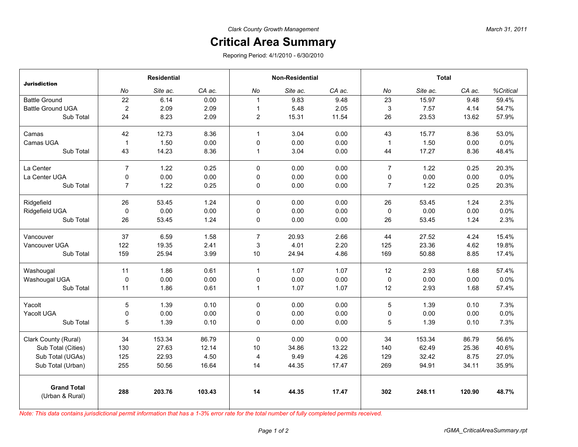## **Critical Area Summary**

Reporing Period: 4/1/2010 - 6/30/2010

| <b>Jurisdiction</b>                   | <b>Residential</b> |          |        | <b>Non-Residential</b> |          |        | <b>Total</b>   |          |        |           |
|---------------------------------------|--------------------|----------|--------|------------------------|----------|--------|----------------|----------|--------|-----------|
|                                       | No                 | Site ac. | CA ac. | No                     | Site ac. | CA ac. | No             | Site ac. | CA ac. | %Critical |
| <b>Battle Ground</b>                  | 22                 | 6.14     | 0.00   | $\mathbf{1}$           | 9.83     | 9.48   | 23             | 15.97    | 9.48   | 59.4%     |
| <b>Battle Ground UGA</b>              | $\overline{2}$     | 2.09     | 2.09   | $\mathbf{1}$           | 5.48     | 2.05   | 3              | 7.57     | 4.14   | 54.7%     |
| Sub Total                             | 24                 | 8.23     | 2.09   | $\overline{2}$         | 15.31    | 11.54  | 26             | 23.53    | 13.62  | 57.9%     |
| Camas                                 | 42                 | 12.73    | 8.36   | $\mathbf{1}$           | 3.04     | 0.00   | 43             | 15.77    | 8.36   | 53.0%     |
| Camas UGA                             | $\mathbf{1}$       | 1.50     | 0.00   | 0                      | 0.00     | 0.00   | $\mathbf{1}$   | 1.50     | 0.00   | 0.0%      |
| Sub Total                             | 43                 | 14.23    | 8.36   | $\mathbf{1}$           | 3.04     | 0.00   | 44             | 17.27    | 8.36   | 48.4%     |
| La Center                             | $\overline{7}$     | 1.22     | 0.25   | $\mathbf{0}$           | 0.00     | 0.00   | $\overline{7}$ | 1.22     | 0.25   | 20.3%     |
| La Center UGA                         | 0                  | 0.00     | 0.00   | $\mathbf 0$            | 0.00     | 0.00   | 0              | 0.00     | 0.00   | 0.0%      |
| Sub Total                             | $\overline{7}$     | 1.22     | 0.25   | 0                      | 0.00     | 0.00   | $\overline{7}$ | 1.22     | 0.25   | 20.3%     |
| Ridgefield                            | 26                 | 53.45    | 1.24   | $\mathbf 0$            | 0.00     | 0.00   | 26             | 53.45    | 1.24   | 2.3%      |
| Ridgefield UGA                        | $\mathbf 0$        | 0.00     | 0.00   | $\mathbf 0$            | 0.00     | 0.00   | 0              | 0.00     | 0.00   | 0.0%      |
| Sub Total                             | 26                 | 53.45    | 1.24   | $\mathbf 0$            | 0.00     | 0.00   | 26             | 53.45    | 1.24   | 2.3%      |
| Vancouver                             | 37                 | 6.59     | 1.58   | $\overline{7}$         | 20.93    | 2.66   | 44             | 27.52    | 4.24   | 15.4%     |
| Vancouver UGA                         | 122                | 19.35    | 2.41   | 3                      | 4.01     | 2.20   | 125            | 23.36    | 4.62   | 19.8%     |
| Sub Total                             | 159                | 25.94    | 3.99   | 10                     | 24.94    | 4.86   | 169            | 50.88    | 8.85   | 17.4%     |
| Washougal                             | 11                 | 1.86     | 0.61   | $\mathbf{1}$           | 1.07     | 1.07   | 12             | 2.93     | 1.68   | 57.4%     |
| Washougal UGA                         | $\mathbf 0$        | 0.00     | 0.00   | $\mathbf 0$            | 0.00     | 0.00   | $\pmb{0}$      | 0.00     | 0.00   | 0.0%      |
| Sub Total                             | 11                 | 1.86     | 0.61   | $\mathbf{1}$           | 1.07     | 1.07   | 12             | 2.93     | 1.68   | 57.4%     |
| Yacolt                                | 5                  | 1.39     | 0.10   | $\mathbf 0$            | 0.00     | 0.00   | 5              | 1.39     | 0.10   | 7.3%      |
| Yacolt UGA                            | 0                  | 0.00     | 0.00   | 0                      | 0.00     | 0.00   | 0              | 0.00     | 0.00   | 0.0%      |
| Sub Total                             | 5                  | 1.39     | 0.10   | 0                      | 0.00     | 0.00   | 5              | 1.39     | 0.10   | 7.3%      |
| Clark County (Rural)                  | 34                 | 153.34   | 86.79  | $\pmb{0}$              | 0.00     | 0.00   | 34             | 153.34   | 86.79  | 56.6%     |
| Sub Total (Cities)                    | 130                | 27.63    | 12.14  | 10                     | 34.86    | 13.22  | 140            | 62.49    | 25.36  | 40.6%     |
| Sub Total (UGAs)                      | 125                | 22.93    | 4.50   | $\overline{4}$         | 9.49     | 4.26   | 129            | 32.42    | 8.75   | 27.0%     |
| Sub Total (Urban)                     | 255                | 50.56    | 16.64  | 14                     | 44.35    | 17.47  | 269            | 94.91    | 34.11  | 35.9%     |
| <b>Grand Total</b><br>(Urban & Rural) | 288                | 203.76   | 103.43 | 14                     | 44.35    | 17.47  | 302            | 248.11   | 120.90 | 48.7%     |

*Note: This data contains jurisdictional permit information that has a 1-3% error rate for the total number of fully completed permits received.*